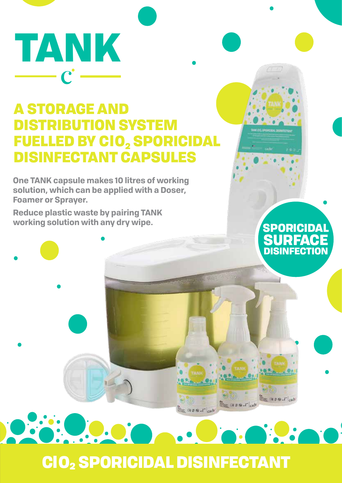TANK

# A STORAGE AND DISTRIBUTION SYSTEM **FUELLED BY CIO, SPORICIDAL** DISINFECTANT CAPSULES

**One TANK capsule makes 10 litres of working solution, which can be applied with a Doser, Foamer or Sprayer.**

**Reduce plastic waste by pairing TANK working solution with any dry wipe.** SPORICIDAL

e<br>Maria

**SURFACE** DISINFECTION

the move.r

 $= 1.981 - 1$ 

ClO2 SPORICIDAL DISINFECTANT

**Comment** Cad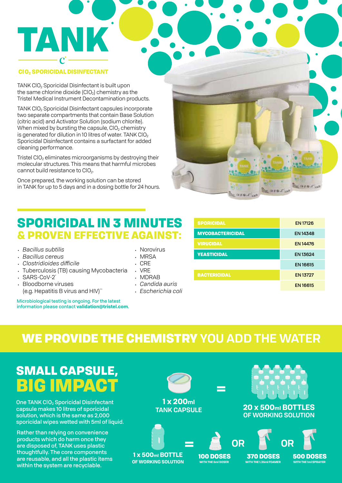### ClO2 SPORICIDAL DISINFECTANT

TANK

TANK CIO<sub>2</sub> Sporicidal Disinfectant is built upon the same chlorine dioxide  $(CIO<sub>2</sub>)$  chemistry as the Tristel Medical Instrument Decontamination products.

TANK ClO2 Sporicidal Disinfectant capsules incorporate two separate compartments that contain Base Solution (citric acid) and Activator Solution (sodium chlorite). When mixed by bursting the capsule,  $ClO<sub>2</sub>$  chemistry is generated for dilution in 10 litres of water. TANK ClO<sub>2</sub> Sporicidal Disinfectant contains a surfactant for added cleaning performance.

Tristel  $ClO<sub>2</sub>$  eliminates microorganisms by destroying their molecular structures. This means that harmful microbes cannot build resistance to CIO<sub>2</sub>.

Once prepared, the working solution can be stored in TANK for up to 5 days and in a dosing bottle for 24 hours.

SPORICIDAL IN 3 MINUTES

& PROVEN EFFECTIVE AGAINST:

### . Norovirus

- MRSA
- C<sub>RE</sub>
- **VRF**
- <sup>y</sup> MDRAB
- <sup>y</sup> *Candida auris*
- <sup>y</sup> *Escherichia coli*

| <b>SPORICIDAL</b>       | <b>EN 17126</b> |
|-------------------------|-----------------|
| <b>MYCOBACTERICIDAL</b> | <b>EN 14348</b> |
| <b>VIRUCIDAL</b>        | <b>EN 14476</b> |
| <b>YEASTICIDAL</b>      | EN 13624        |
|                         | <b>EN 16615</b> |
| <b>BACTERICIDAL</b>     | <b>EN 13727</b> |
|                         | <b>EN16615</b>  |

 $-0.88$ 

 $-1886$ 

## WE PROVIDE THE CHEMISTRY **YOU ADD THE WATER**

# SMALL CAPSULE, BIG IMPACT

Tuberculosis (TB) causing Mycobacteria

(e.g. Hepatitis B virus and HIV)\*\*

Microbiological testing is ongoing. For the latest information please contact **validation@tristel.com**.

<sup>y</sup> *Bacillus subtilis* <sup>y</sup> *Bacillus cereus* <sup>y</sup> *Clostridioides difficile*

SARS-CoV-2<sup>\*</sup> **Bloodborne viruses** 

**One TANK CIO<sub>2</sub> Sporicidal Disinfectant** capsule makes 10 litres of sporicidal solution, which is the same as 2,000 sporicidal wipes wetted with 5ml of liquid.

Rather than relying on convenience products which do harm once they are disposed of, TANK uses plastic thoughtfully. The core components are reusable, and all the plastic items within the system are recyclable.

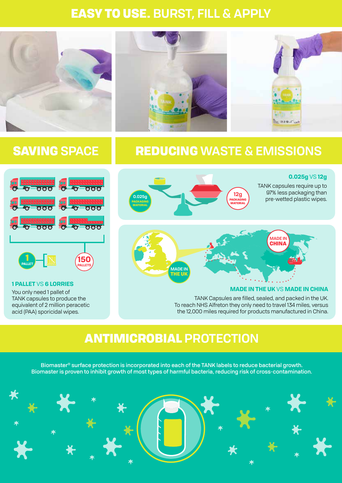## EASY TO USE. **BURST, FILL & APPLY**



## SAVING **SPACE** REDUCING **WASTE & EMISSIONS**



You only need 1 pallet of **1 PALLET** VS **6 LORRIES**

TANK capsules to produce the equivalent of 2 million peracetic acid (PAA) sporicidal wipes.





### **MADE IN THE UK** VS **MADE IN CHINA**

**0.025g** VS **12g** 

TANK Capsules are filled, sealed, and packed in the UK. To reach NHS Alfreton they only need to travel 134 miles, versus the 12,000 miles required for products manufactured in China.

### ANTIMICROBIAL **PROTECTION**

Biomaster® surface protection is incorporated into each of the TANK labels to reduce bacterial growth. Biomaster is proven to inhibit growth of most types of harmful bacteria, reducing risk of cross-contamination.